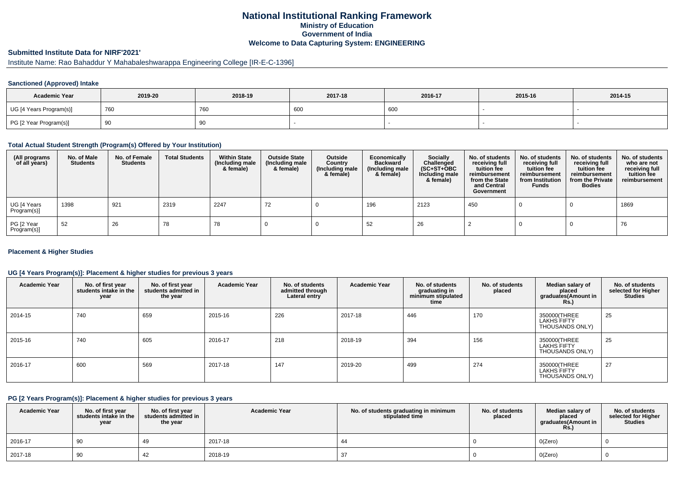### **National Institutional Ranking FrameworkMinistry of Education Government of IndiaWelcome to Data Capturing System: ENGINEERING**

## **Submitted Institute Data for NIRF'2021'**

## Institute Name: Rao Bahaddur Y Mahabaleshwarappa Engineering College [IR-E-C-1396]

#### **Sanctioned (Approved) Intake**

| <b>Academic Year</b>    | 2019-20 | 2018-19    | 2017-18 | 2016-17 | 2015-16 | 2014-15 |
|-------------------------|---------|------------|---------|---------|---------|---------|
| UG [4 Years Program(s)] | 760     | <b>760</b> | 600     | 600     |         |         |
| PG [2 Year Program(s)]  | ູບ      | 90         |         |         |         |         |

#### **Total Actual Student Strength (Program(s) Offered by Your Institution)**

| (All programs<br>of all years) | No. of Male<br><b>Students</b> | No. of Female<br><b>Students</b> | <b>Total Students</b> | <b>Within State</b><br>(Including male<br>& female) | <b>Outside State</b><br>(Including male<br>& female) | Outside<br>Country<br>(Including male<br>& female) | Economically<br><b>Backward</b><br>(Including male<br>& female) | <b>Socially</b><br>Challenged<br>$(SC+ST+OBC)$<br>Including male<br>& female) | No. of students<br>receiving full<br>tuition fee<br>reimbursement<br>from the State<br>and Central<br>Government | No. of students<br>receiving full<br>tuition fee<br>reimbursement<br>from Institution<br><b>Funds</b> | No. of students<br>receiving full<br>tuition fee<br>reimbursement<br>from the Private<br><b>Bodies</b> | No. of students<br>who are not<br>receiving full<br>tuition fee<br>reimbursement |
|--------------------------------|--------------------------------|----------------------------------|-----------------------|-----------------------------------------------------|------------------------------------------------------|----------------------------------------------------|-----------------------------------------------------------------|-------------------------------------------------------------------------------|------------------------------------------------------------------------------------------------------------------|-------------------------------------------------------------------------------------------------------|--------------------------------------------------------------------------------------------------------|----------------------------------------------------------------------------------|
| UG [4 Years<br>Program(s)]     | 1398                           | 921                              | 2319                  | 2247                                                | 72                                                   |                                                    | 196                                                             | 2123                                                                          | 450                                                                                                              |                                                                                                       |                                                                                                        | 1869                                                                             |
| PG [2 Year<br>Program(s)]      | 52                             | 26                               | 78                    | 78                                                  |                                                      |                                                    | 52                                                              | 26                                                                            |                                                                                                                  |                                                                                                       |                                                                                                        | 76                                                                               |

#### **Placement & Higher Studies**

#### **UG [4 Years Program(s)]: Placement & higher studies for previous 3 years**

| <b>Academic Year</b> | No. of first year<br>students intake in the<br>year | No. of first year<br>students admitted in<br>the year | <b>Academic Year</b> | No. of students<br>admitted through<br>Lateral entry | <b>Academic Year</b> | No. of students<br>graduating in<br>minimum stipulated<br>time | No. of students<br>placed | Median salary of<br>placed<br>graduates(Amount in<br><b>Rs.</b> ) | No. of students<br>selected for Higher<br><b>Studies</b> |
|----------------------|-----------------------------------------------------|-------------------------------------------------------|----------------------|------------------------------------------------------|----------------------|----------------------------------------------------------------|---------------------------|-------------------------------------------------------------------|----------------------------------------------------------|
| 2014-15              | 740                                                 | 659                                                   | 2015-16              | 226                                                  | 2017-18              | 446                                                            | 170                       | 350000(THREE<br><b>LAKHS FIFTY</b><br>THOUSANDS ONLY)             | 25                                                       |
| 2015-16              | 740                                                 | 605                                                   | 2016-17              | 218                                                  | 2018-19              | 394                                                            | 156                       | 350000(THREE<br><b>LAKHS FIFTY</b><br>THOUSANDS ONLY)             | 25                                                       |
| 2016-17              | 600                                                 | 569                                                   | 2017-18              | 147                                                  | 2019-20              | 499                                                            | 274                       | 350000(THREE<br>LAKHS FIFTY<br>THOUSANDS ONLY)                    | 27                                                       |

#### **PG [2 Years Program(s)]: Placement & higher studies for previous 3 years**

| <b>Academic Year</b> | No. of first year<br>students intake in the<br>year | No. of first year<br>students admitted in<br>the year | <b>Academic Year</b> | No. of students graduating in minimum<br>stipulated time | No. of students<br>placed | Median salary of<br>placed<br>graduates(Amount in<br><b>Rs.)</b> | No. of students<br>selected for Higher<br><b>Studies</b> |
|----------------------|-----------------------------------------------------|-------------------------------------------------------|----------------------|----------------------------------------------------------|---------------------------|------------------------------------------------------------------|----------------------------------------------------------|
| 2016-17              | 90                                                  |                                                       | 2017-18              |                                                          |                           | O(Zero)                                                          |                                                          |
| 2017-18              | -90                                                 | 42                                                    | 2018-19              |                                                          |                           | O(Zero)                                                          |                                                          |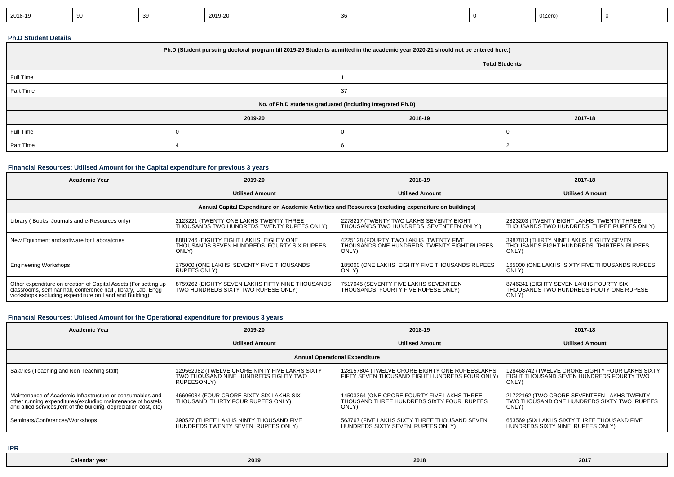| 2019-20<br>2018-19<br>0(Zero)<br>or |
|-------------------------------------|
|-------------------------------------|

#### **Ph.D Student Details**

| Ph.D (Student pursuing doctoral program till 2019-20 Students admitted in the academic year 2020-21 should not be entered here.) |         |                       |         |  |  |  |
|----------------------------------------------------------------------------------------------------------------------------------|---------|-----------------------|---------|--|--|--|
|                                                                                                                                  |         | <b>Total Students</b> |         |  |  |  |
| Full Time                                                                                                                        |         |                       |         |  |  |  |
| Part Time                                                                                                                        |         | 37                    |         |  |  |  |
| No. of Ph.D students graduated (including Integrated Ph.D)                                                                       |         |                       |         |  |  |  |
|                                                                                                                                  | 2019-20 | 2018-19               | 2017-18 |  |  |  |
| Full Time                                                                                                                        |         |                       |         |  |  |  |
| Part Time                                                                                                                        |         |                       |         |  |  |  |

#### **Financial Resources: Utilised Amount for the Capital expenditure for previous 3 years**

| Academic Year                                                                                                                                                                             | 2019-20                                                                                       | 2018-19                                                                                      | 2017-18                                                                                      |  |  |  |  |
|-------------------------------------------------------------------------------------------------------------------------------------------------------------------------------------------|-----------------------------------------------------------------------------------------------|----------------------------------------------------------------------------------------------|----------------------------------------------------------------------------------------------|--|--|--|--|
|                                                                                                                                                                                           | <b>Utilised Amount</b>                                                                        | <b>Utilised Amount</b>                                                                       | <b>Utilised Amount</b>                                                                       |  |  |  |  |
| Annual Capital Expenditure on Academic Activities and Resources (excluding expenditure on buildings)                                                                                      |                                                                                               |                                                                                              |                                                                                              |  |  |  |  |
| Library (Books, Journals and e-Resources only)                                                                                                                                            | 2123221 (TWENTY ONE LAKHS TWENTY THREE<br>THOUSANDS TWO HUNDREDS TWENTY RUPEES ONLY)          | 2278217 (TWENTY TWO LAKHS SEVENTY EIGHT<br>THOUSANDS TWO HUNDREDS SEVENTEEN ONLY)            | 2823203 (TWENTY EIGHT LAKHS TWENTY THREE<br>THOUSANDS TWO HUNDREDS THREE RUPEES ONLY)        |  |  |  |  |
| New Equipment and software for Laboratories                                                                                                                                               | 8881746 (EIGHTY EIGHT LAKHS EIGHTY ONE<br>THOUSANDS SEVEN HUNDREDS FOURTY SIX RUPEES<br>ONLY) | 4225128 (FOURTY TWO LAKHS TWENTY FIVE<br>THOUSANDS ONE HUNDREDS TWENTY EIGHT RUPEES<br>ONLY) | 3987813 (THIRTY NINE LAKHS EIGHTY SEVEN<br>THOUSANDS EIGHT HUNDREDS THIRTEEN RUPEES<br>ONLY) |  |  |  |  |
| <b>Engineering Workshops</b>                                                                                                                                                              | 175000 (ONE LAKHS SEVENTY FIVE THOUSANDS<br>RUPEES ONLY)                                      | 185000 (ONE LAKHS EIGHTY FIVE THOUSANDS RUPEES<br>ONLY)                                      | 165000 (ONE LAKHS SIXTY FIVE THOUSANDS RUPEES<br>ONLY)                                       |  |  |  |  |
| Other expenditure on creation of Capital Assets (For setting up<br>classrooms, seminar hall, conference hall, library, Lab, Engg<br>workshops excluding expenditure on Land and Building) | 8759262 (EIGHTY SEVEN LAKHS FIFTY NINE THOUSANDS<br>TWO HUNDREDS SIXTY TWO RUPESE ONLY)       | 7517045 (SEVENTY FIVE LAKHS SEVENTEEN<br>THOUSANDS FOURTY FIVE RUPESE ONLY)                  | 8746241 (EIGHTY SEVEN LAKHS FOURTY SIX<br>THOUSANDS TWO HUNDREDS FOUTY ONE RUPESE<br>ONLY)   |  |  |  |  |

### **Financial Resources: Utilised Amount for the Operational expenditure for previous 3 years**

| <b>Academic Year</b>                                                                                                                                                                            | 2019-20                                                                                                | 2018-19                                                                                           | 2017-18                                                                                              |  |  |  |
|-------------------------------------------------------------------------------------------------------------------------------------------------------------------------------------------------|--------------------------------------------------------------------------------------------------------|---------------------------------------------------------------------------------------------------|------------------------------------------------------------------------------------------------------|--|--|--|
|                                                                                                                                                                                                 | <b>Utilised Amount</b>                                                                                 | <b>Utilised Amount</b>                                                                            | <b>Utilised Amount</b>                                                                               |  |  |  |
| <b>Annual Operational Expenditure</b>                                                                                                                                                           |                                                                                                        |                                                                                                   |                                                                                                      |  |  |  |
| Salaries (Teaching and Non Teaching staff)                                                                                                                                                      | 129562982 (TWELVE CRORE NINTY FIVE LAKHS SIXTY<br>TWO THOUSAND NINE HUNDREDS EIGHTY TWO<br>RUPEESONLY) | 128157804 (TWELVE CRORE EIGHTY ONE RUPEESLAKHS<br>FIFTY SEVEN THOUSAND EIGHT HUNDREDS FOUR ONLY)  | 128468742 (TWELVE CRORE EIGHTY FOUR LAKHS SIXTY<br>EIGHT THOUSAND SEVEN HUNDREDS FOURTY TWO<br>ONLY) |  |  |  |
| Maintenance of Academic Infrastructure or consumables and<br>other running expenditures (excluding maintenance of hostels<br>and allied services, rent of the building, depreciation cost, etc) | 46606034 (FOUR CRORE SIXTY SIX LAKHS SIX<br>THOUSAND THIRTY FOUR RUPEES ONLY)                          | 14503364 (ONE CRORE FOURTY FIVE LAKHS THREE<br>THOUSAND THREE HUNDREDS SIXTY FOUR RUPEES<br>ONLY) | 21722162 (TWO CRORE SEVENTEEN LAKHS TWENTY<br>TWO THOUSAND ONE HUNDREDS SIXTY TWO RUPEES<br>ONLY)    |  |  |  |
| Seminars/Conferences/Workshops                                                                                                                                                                  | 390527 (THREE LAKHS NINTY THOUSAND FIVE<br>HUNDREDS TWENTY SEVEN RUPEES ONLY)                          | 563767 (FIVE LAKHS SIXTY THREE THOUSAND SEVEN<br>HUNDRÈDS SIXTY SEVEN RUPEES ONLY)                | 663569 (SIX LAKHS SIXTY THREE THOUSAND FIVE<br>HUNDREDS SIXTY NINE RUPEES ONLY)                      |  |  |  |

**IPR**

| Colo<br>:מו זפ<br>Calendal<br>- | 2019 | 2018 | 2017 |
|---------------------------------|------|------|------|
|---------------------------------|------|------|------|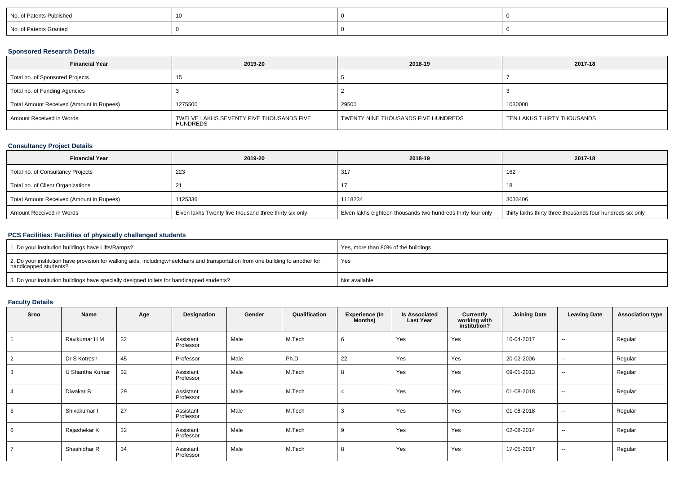| No. of Patents Published |  |  |
|--------------------------|--|--|
| No. of Patents Granted   |  |  |

### **Sponsored Research Details**

| <b>Financial Year</b>                    | 2019-20                                              | 2018-19                             | 2017-18                    |
|------------------------------------------|------------------------------------------------------|-------------------------------------|----------------------------|
| Total no. of Sponsored Projects          |                                                      |                                     |                            |
| Total no. of Funding Agencies            |                                                      |                                     |                            |
| Total Amount Received (Amount in Rupees) | 1275500                                              | 29500                               | 1030000                    |
| Amount Received in Words                 | TWELVE LAKHS SEVENTY FIVE THOUSANDS FIVE<br>HUNDREDS | TWENTY NINE THOUSANDS FIVE HUNDREDS | TEN LAKHS THIRTY THOUSANDS |

### **Consultancy Project Details**

| <b>Financial Year</b>                    | 2019-20                                                | 2018-19                                                      | 2017-18                                                    |
|------------------------------------------|--------------------------------------------------------|--------------------------------------------------------------|------------------------------------------------------------|
| Total no. of Consultancy Projects        | 223                                                    | 317                                                          | 162                                                        |
| Total no. of Client Organizations        |                                                        |                                                              | 18                                                         |
| Total Amount Received (Amount in Rupees) | 1125336                                                | 1118234                                                      | 3033406                                                    |
| Amount Received in Words                 | Elven lakhs Twenty five thousand three thirty six only | Elven lakhs eighteen thousands two hundreds thirty four only | thirty lakhs thirty three thousands four hundreds six only |

# **PCS Facilities: Facilities of physically challenged students**

| 1. Do your institution buildings have Lifts/Ramps?                                                                                                        | Yes, more than 80% of the buildings |
|-----------------------------------------------------------------------------------------------------------------------------------------------------------|-------------------------------------|
| 2. Do your institution have provision for walking aids, includingwheelchairs and transportation from one building to another for<br>handicapped students? | Yes                                 |
| 3. Do your institution buildings have specially designed toilets for handicapped students?                                                                | Not available                       |

# **Faculty Details**

| Srno           | Name            | Age | Designation            | Gender | Qualification | <b>Experience (In</b><br>Months) | <b>Is Associated</b><br><b>Last Year</b> | <b>Currently</b><br>working with<br>institution? | <b>Joining Date</b> | <b>Leaving Date</b>      | <b>Association type</b> |
|----------------|-----------------|-----|------------------------|--------|---------------|----------------------------------|------------------------------------------|--------------------------------------------------|---------------------|--------------------------|-------------------------|
|                | Ravikumar H M   | 32  | Assistant<br>Professor | Male   | M.Tech        | 6                                | Yes                                      | Yes                                              | 10-04-2017          | $\sim$                   | Regular                 |
| $\overline{2}$ | Dr S Kotresh    | 45  | Professor              | Male   | Ph.D          | 22                               | Yes                                      | Yes                                              | 20-02-2006          | $\sim$                   | Regular                 |
| 3              | U Shantha Kumar | 32  | Assistant<br>Professor | Male   | M.Tech        | 8                                | Yes                                      | Yes                                              | 09-01-2013          | $\sim$                   | Regular                 |
| -4             | Diwakar B       | 29  | Assistant<br>Professor | Male   | M.Tech        |                                  | Yes                                      | Yes                                              | 01-08-2018          | $\sim$                   | Regular                 |
| 5              | Shivakumar I    | 27  | Assistant<br>Professor | Male   | M.Tech        | 3                                | Yes                                      | Yes                                              | 01-08-2018          | $\sim$                   | Regular                 |
| 6              | Rajashekar K    | 32  | Assistant<br>Professor | Male   | M.Tech        | 9                                | Yes                                      | Yes                                              | 02-08-2014          | $\overline{\phantom{a}}$ | Regular                 |
| $\overline{7}$ | Shashidhar R    | 34  | Assistant<br>Professor | Male   | M.Tech        | -8                               | Yes                                      | Yes                                              | 17-05-2017          | $\sim$                   | Regular                 |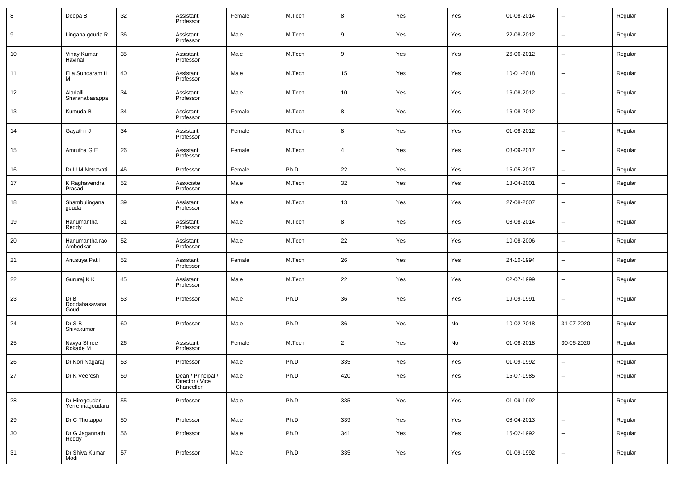| 8  | Deepa B                          | 32 | Assistant<br>Professor                              | Female | M.Tech | 8              | Yes | Yes | 01-08-2014 | $\overline{\phantom{a}}$ | Regular |
|----|----------------------------------|----|-----------------------------------------------------|--------|--------|----------------|-----|-----|------------|--------------------------|---------|
| 9  | Lingana gouda R                  | 36 | Assistant<br>Professor                              | Male   | M.Tech | 9              | Yes | Yes | 22-08-2012 | $\overline{\phantom{a}}$ | Regular |
| 10 | Vinay Kumar<br>Havinal           | 35 | Assistant<br>Professor                              | Male   | M.Tech | 9              | Yes | Yes | 26-06-2012 | $\overline{\phantom{a}}$ | Regular |
| 11 | Elia Sundaram H<br>м             | 40 | Assistant<br>Professor                              | Male   | M.Tech | 15             | Yes | Yes | 10-01-2018 | $\overline{\phantom{a}}$ | Regular |
| 12 | Aladalli<br>Sharanabasappa       | 34 | Assistant<br>Professor                              | Male   | M.Tech | 10             | Yes | Yes | 16-08-2012 | $\overline{\phantom{a}}$ | Regular |
| 13 | Kumuda B                         | 34 | Assistant<br>Professor                              | Female | M.Tech | 8              | Yes | Yes | 16-08-2012 | $\overline{\phantom{a}}$ | Regular |
| 14 | Gayathri J                       | 34 | Assistant<br>Professor                              | Female | M.Tech | 8              | Yes | Yes | 01-08-2012 | $\overline{\phantom{a}}$ | Regular |
| 15 | Amrutha G E                      | 26 | Assistant<br>Professor                              | Female | M.Tech | $\overline{4}$ | Yes | Yes | 08-09-2017 | $\overline{\phantom{a}}$ | Regular |
| 16 | Dr U M Netravati                 | 46 | Professor                                           | Female | Ph.D   | 22             | Yes | Yes | 15-05-2017 | $\overline{\phantom{a}}$ | Regular |
| 17 | K Raghavendra<br>Prasad          | 52 | Associate<br>Professor                              | Male   | M.Tech | 32             | Yes | Yes | 18-04-2001 | $\sim$                   | Regular |
| 18 | Shambulingana<br>gouda           | 39 | Assistant<br>Professor                              | Male   | M.Tech | 13             | Yes | Yes | 27-08-2007 | $\sim$                   | Regular |
| 19 | Hanumantha<br>Reddy              | 31 | Assistant<br>Professor                              | Male   | M.Tech | 8              | Yes | Yes | 08-08-2014 | $\sim$                   | Regular |
| 20 | Hanumantha rao<br>Ambedkar       | 52 | Assistant<br>Professor                              | Male   | M.Tech | 22             | Yes | Yes | 10-08-2006 | $\sim$                   | Regular |
| 21 | Anusuya Patil                    | 52 | Assistant<br>Professor                              | Female | M.Tech | 26             | Yes | Yes | 24-10-1994 | $\sim$                   | Regular |
| 22 | Gururaj K K                      | 45 | Assistant<br>Professor                              | Male   | M.Tech | 22             | Yes | Yes | 02-07-1999 | $\overline{\phantom{a}}$ | Regular |
| 23 | Dr B<br>Doddabasavana<br>Goud    | 53 | Professor                                           | Male   | Ph.D   | 36             | Yes | Yes | 19-09-1991 | $\sim$                   | Regular |
| 24 | Dr S B<br>Shivakumar             | 60 | Professor                                           | Male   | Ph.D   | 36             | Yes | No  | 10-02-2018 | 31-07-2020               | Regular |
| 25 | Navya Shree<br>Rokade M          | 26 | Assistant<br>Professor                              | Female | M.Tech | $\overline{2}$ | Yes | No  | 01-08-2018 | 30-06-2020               | Regular |
| 26 | Dr Kori Nagaraj                  | 53 | Professor                                           | Male   | Ph.D   | 335            | Yes | Yes | 01-09-1992 | $\ddotsc$                | Regular |
| 27 | Dr K Veeresh                     | 59 | Dean / Principal /<br>Director / Vice<br>Chancellor | Male   | Ph.D   | 420            | Yes | Yes | 15-07-1985 | $\sim$                   | Regular |
| 28 | Dr Hiregoudar<br>Yerrennagoudaru | 55 | Professor                                           | Male   | Ph.D   | 335            | Yes | Yes | 01-09-1992 | $\sim$                   | Regular |
| 29 | Dr C Thotappa                    | 50 | Professor                                           | Male   | Ph.D   | 339            | Yes | Yes | 08-04-2013 | $\overline{\phantom{a}}$ | Regular |
| 30 | Dr G Jagannath<br>Reddy          | 56 | Professor                                           | Male   | Ph.D   | 341            | Yes | Yes | 15-02-1992 | $\sim$                   | Regular |
| 31 | Dr Shiva Kumar<br>Modi           | 57 | Professor                                           | Male   | Ph.D   | 335            | Yes | Yes | 01-09-1992 | $\overline{\phantom{a}}$ | Regular |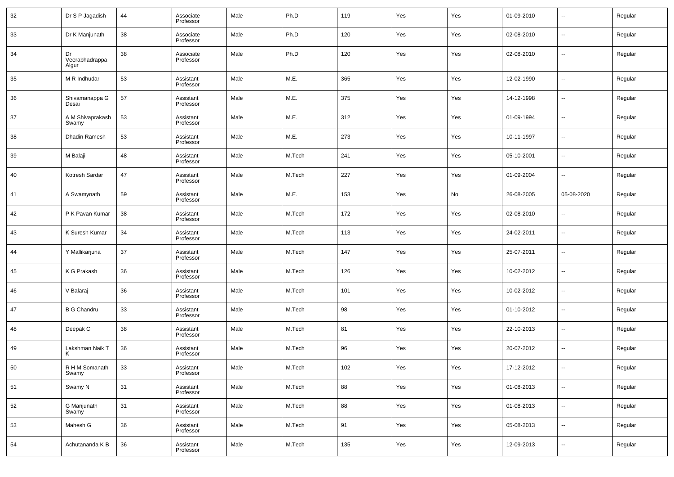| 32 | Dr S P Jagadish               | 44 | Associate<br>Professor | Male | Ph.D   | 119 | Yes | Yes | 01-09-2010 | н.                       | Regular |
|----|-------------------------------|----|------------------------|------|--------|-----|-----|-----|------------|--------------------------|---------|
| 33 | Dr K Manjunath                | 38 | Associate<br>Professor | Male | Ph.D   | 120 | Yes | Yes | 02-08-2010 | н.                       | Regular |
| 34 | Dr<br>Veerabhadrappa<br>Algur | 38 | Associate<br>Professor | Male | Ph.D   | 120 | Yes | Yes | 02-08-2010 | −−                       | Regular |
| 35 | M R Indhudar                  | 53 | Assistant<br>Professor | Male | M.E.   | 365 | Yes | Yes | 12-02-1990 | ÷.                       | Regular |
| 36 | Shivamanappa G<br>Desai       | 57 | Assistant<br>Professor | Male | M.E.   | 375 | Yes | Yes | 14-12-1998 | $\overline{\phantom{a}}$ | Regular |
| 37 | A M Shivaprakash<br>Swamy     | 53 | Assistant<br>Professor | Male | M.E.   | 312 | Yes | Yes | 01-09-1994 | ÷.                       | Regular |
| 38 | Dhadin Ramesh                 | 53 | Assistant<br>Professor | Male | M.E.   | 273 | Yes | Yes | 10-11-1997 | $\overline{\phantom{a}}$ | Regular |
| 39 | M Balaji                      | 48 | Assistant<br>Professor | Male | M.Tech | 241 | Yes | Yes | 05-10-2001 | ÷.                       | Regular |
| 40 | Kotresh Sardar                | 47 | Assistant<br>Professor | Male | M.Tech | 227 | Yes | Yes | 01-09-2004 | $\overline{\phantom{a}}$ | Regular |
| 41 | A Swamynath                   | 59 | Assistant<br>Professor | Male | M.E.   | 153 | Yes | No  | 26-08-2005 | 05-08-2020               | Regular |
| 42 | P K Pavan Kumar               | 38 | Assistant<br>Professor | Male | M.Tech | 172 | Yes | Yes | 02-08-2010 | ÷.                       | Regular |
| 43 | K Suresh Kumar                | 34 | Assistant<br>Professor | Male | M.Tech | 113 | Yes | Yes | 24-02-2011 | ÷.                       | Regular |
| 44 | Y Mallikarjuna                | 37 | Assistant<br>Professor | Male | M.Tech | 147 | Yes | Yes | 25-07-2011 | ÷.                       | Regular |
| 45 | K G Prakash                   | 36 | Assistant<br>Professor | Male | M.Tech | 126 | Yes | Yes | 10-02-2012 | ÷.                       | Regular |
| 46 | V Balaraj                     | 36 | Assistant<br>Professor | Male | M.Tech | 101 | Yes | Yes | 10-02-2012 | ÷.                       | Regular |
| 47 | <b>B G Chandru</b>            | 33 | Assistant<br>Professor | Male | M.Tech | 98  | Yes | Yes | 01-10-2012 | ÷.                       | Regular |
| 48 | Deepak C                      | 38 | Assistant<br>Professor | Male | M.Tech | 81  | Yes | Yes | 22-10-2013 | ÷.                       | Regular |
| 49 | Lakshman Naik T<br>ĸ          | 36 | Assistant<br>Professor | Male | M.Tech | 96  | Yes | Yes | 20-07-2012 | н.                       | Regular |
| 50 | R H M Somanath<br>Swamy       | 33 | Assistant<br>Professor | Male | M.Tech | 102 | Yes | Yes | 17-12-2012 |                          | Regular |
| 51 | Swamy N                       | 31 | Assistant<br>Professor | Male | M.Tech | 88  | Yes | Yes | 01-08-2013 | щ.                       | Regular |
| 52 | G Manjunath<br>Swamy          | 31 | Assistant<br>Professor | Male | M.Tech | 88  | Yes | Yes | 01-08-2013 | щ.                       | Regular |
| 53 | Mahesh G                      | 36 | Assistant<br>Professor | Male | M.Tech | 91  | Yes | Yes | 05-08-2013 | н.                       | Regular |
| 54 | Achutananda K B               | 36 | Assistant<br>Professor | Male | M.Tech | 135 | Yes | Yes | 12-09-2013 | щ.                       | Regular |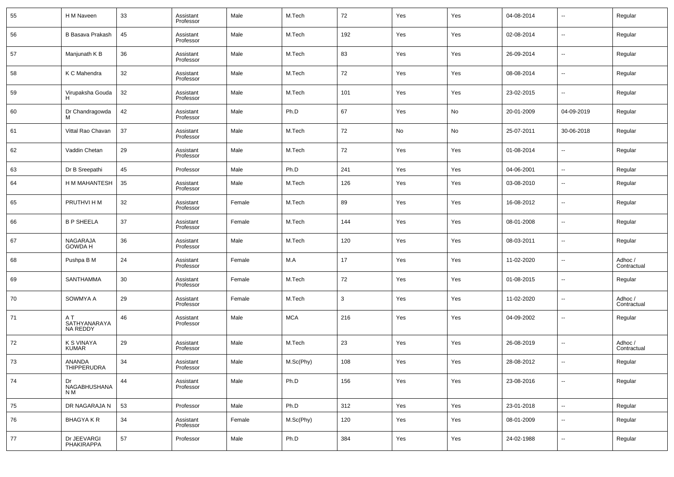| 55  | H M Naveen                       | 33 | Assistant<br>Professor | Male   | M.Tech     | 72  | Yes | Yes | 04-08-2014 | $\overline{\phantom{a}}$ | Regular                |
|-----|----------------------------------|----|------------------------|--------|------------|-----|-----|-----|------------|--------------------------|------------------------|
| 56  | B Basava Prakash                 | 45 | Assistant<br>Professor | Male   | M.Tech     | 192 | Yes | Yes | 02-08-2014 | $\overline{\phantom{a}}$ | Regular                |
| 57  | Manjunath K B                    | 36 | Assistant<br>Professor | Male   | M.Tech     | 83  | Yes | Yes | 26-09-2014 | $\overline{\phantom{a}}$ | Regular                |
| 58  | K C Mahendra                     | 32 | Assistant<br>Professor | Male   | M.Tech     | 72  | Yes | Yes | 08-08-2014 | $\overline{\phantom{a}}$ | Regular                |
| 59  | Virupaksha Gouda<br>н            | 32 | Assistant<br>Professor | Male   | M.Tech     | 101 | Yes | Yes | 23-02-2015 | $\overline{\phantom{a}}$ | Regular                |
| 60  | Dr Chandragowda                  | 42 | Assistant<br>Professor | Male   | Ph.D       | 67  | Yes | No  | 20-01-2009 | 04-09-2019               | Regular                |
| 61  | Vittal Rao Chavan                | 37 | Assistant<br>Professor | Male   | M.Tech     | 72  | No  | No  | 25-07-2011 | 30-06-2018               | Regular                |
| 62  | Vaddin Chetan                    | 29 | Assistant<br>Professor | Male   | M.Tech     | 72  | Yes | Yes | 01-08-2014 | $\overline{\phantom{a}}$ | Regular                |
| 63  | Dr B Sreepathi                   | 45 | Professor              | Male   | Ph.D       | 241 | Yes | Yes | 04-06-2001 | $\overline{\phantom{a}}$ | Regular                |
| 64  | H M MAHANTESH                    | 35 | Assistant<br>Professor | Male   | M.Tech     | 126 | Yes | Yes | 03-08-2010 | $\overline{\phantom{a}}$ | Regular                |
| 65  | PRUTHVI H M                      | 32 | Assistant<br>Professor | Female | M.Tech     | 89  | Yes | Yes | 16-08-2012 | $\overline{\phantom{a}}$ | Regular                |
| 66  | <b>B P SHEELA</b>                | 37 | Assistant<br>Professor | Female | M.Tech     | 144 | Yes | Yes | 08-01-2008 | $\overline{\phantom{a}}$ | Regular                |
| 67  | NAGARAJA<br><b>GOWDA H</b>       | 36 | Assistant<br>Professor | Male   | M.Tech     | 120 | Yes | Yes | 08-03-2011 | $\overline{\phantom{a}}$ | Regular                |
| 68  | Pushpa B M                       | 24 | Assistant<br>Professor | Female | M.A        | 17  | Yes | Yes | 11-02-2020 | $\overline{\phantom{a}}$ | Adhoc /<br>Contractual |
| 69  | SANTHAMMA                        | 30 | Assistant<br>Professor | Female | M.Tech     | 72  | Yes | Yes | 01-08-2015 | $\overline{\phantom{a}}$ | Regular                |
| 70  | SOWMYA A                         | 29 | Assistant<br>Professor | Female | M.Tech     | 3   | Yes | Yes | 11-02-2020 | $\overline{\phantom{a}}$ | Adhoc /<br>Contractual |
| 71  | ΑT<br>SATHYANARAYA<br>NA REDDY   | 46 | Assistant<br>Professor | Male   | <b>MCA</b> | 216 | Yes | Yes | 04-09-2002 | $\overline{\phantom{a}}$ | Regular                |
| 72  | K S VINAYA<br><b>KUMAR</b>       | 29 | Assistant<br>Professor | Male   | M.Tech     | 23  | Yes | Yes | 26-08-2019 | $\overline{\phantom{a}}$ | Adhoc /<br>Contractual |
| -73 | ANANDA<br>THIPPERUDRA            | 34 | Assistant<br>Professor | Male   | M.Sc(Phy)  | 108 | Yes | Yes | 28-08-2012 | $\overline{\phantom{a}}$ | Regular                |
| 74  | Dr<br><b>NAGABHUSHANA</b><br>N M | 44 | Assistant<br>Professor | Male   | Ph.D       | 156 | Yes | Yes | 23-08-2016 | $\overline{\phantom{a}}$ | Regular                |
| 75  | DR NAGARAJA N                    | 53 | Professor              | Male   | Ph.D       | 312 | Yes | Yes | 23-01-2018 | $\overline{\phantom{a}}$ | Regular                |
| 76  | BHAGYA K R                       | 34 | Assistant<br>Professor | Female | M.Sc(Phy)  | 120 | Yes | Yes | 08-01-2009 | $\overline{\phantom{a}}$ | Regular                |
| 77  | Dr JEEVARGI<br>PHAKIRAPPA        | 57 | Professor              | Male   | Ph.D       | 384 | Yes | Yes | 24-02-1988 | $\overline{\phantom{a}}$ | Regular                |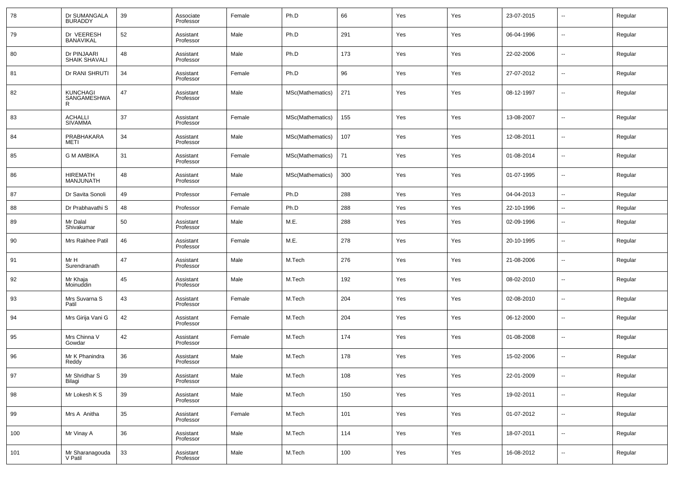| Dr SUMANGALA<br><b>BURADDY</b> | 39 | Associate<br>Professor | Female | Ph.D             | 66  | Yes | Yes | 23-07-2015 | ⊷                        | Regular |
|--------------------------------|----|------------------------|--------|------------------|-----|-----|-----|------------|--------------------------|---------|
| Dr VEERESH<br>BANAVIKAL        | 52 | Assistant<br>Professor | Male   | Ph.D             | 291 | Yes | Yes | 06-04-1996 | $\overline{\phantom{a}}$ | Regular |
| Dr PINJAARI<br>SHAIK SHAVALI   | 48 | Assistant<br>Professor | Male   | Ph.D             | 173 | Yes | Yes | 22-02-2006 | ⊷                        | Regular |
| Dr RANI SHRUTI                 | 34 | Assistant<br>Professor | Female | Ph.D             | 96  | Yes | Yes | 27-07-2012 | $\overline{\phantom{a}}$ | Regular |
| KUNCHAGI<br>SANGAMESHWA<br>R   | 47 | Assistant<br>Professor | Male   | MSc(Mathematics) | 271 | Yes | Yes | 08-12-1997 | ⊷                        | Regular |
| <b>ACHALLI</b><br>SIVAMMA      | 37 | Assistant<br>Professor | Female | MSc(Mathematics) | 155 | Yes | Yes | 13-08-2007 | --                       | Regular |
| PRABHAKARA<br>METI             | 34 | Assistant<br>Professor | Male   | MSc(Mathematics) | 107 | Yes | Yes | 12-08-2011 | --                       | Regular |
| <b>G M AMBIKA</b>              | 31 | Assistant<br>Professor | Female | MSc(Mathematics) | 71  | Yes | Yes | 01-08-2014 | --                       | Regular |
| <b>HIREMATH</b><br>MANJUNATH   | 48 | Assistant<br>Professor | Male   | MSc(Mathematics) | 300 | Yes | Yes | 01-07-1995 | --                       | Regular |
| Dr Savita Sonoli               | 49 | Professor              | Female | Ph.D             | 288 | Yes | Yes | 04-04-2013 | -−                       | Regular |
| Dr Prabhavathi S               | 48 | Professor              | Female | Ph.D             | 288 | Yes | Yes | 22-10-1996 | ⊷                        | Regular |
| Mr Dalal<br>Shivakumar         | 50 | Assistant<br>Professor | Male   | M.E.             | 288 | Yes | Yes | 02-09-1996 | $\overline{\phantom{a}}$ | Regular |
| Mrs Rakhee Patil               | 46 | Assistant<br>Professor | Female | M.E.             | 278 | Yes | Yes | 20-10-1995 | ⊷                        | Regular |
| Mr H<br>Surendranath           | 47 | Assistant<br>Professor | Male   | M.Tech           | 276 | Yes | Yes | 21-08-2006 | $\overline{\phantom{a}}$ | Regular |
| Mr Khaja<br>Moinuddin          | 45 | Assistant<br>Professor | Male   | M.Tech           | 192 | Yes | Yes | 08-02-2010 | ⊶.                       | Regular |
| Mrs Suvarna S<br>Patil         | 43 | Assistant<br>Professor | Female | M.Tech           | 204 | Yes | Yes | 02-08-2010 | ⊷                        | Regular |
| Mrs Girija Vani G              | 42 | Assistant<br>Professor | Female | M.Tech           | 204 | Yes | Yes | 06-12-2000 | ⊶.                       | Regular |
| Mrs Chinna V<br>Gowdar         | 42 | Assistant<br>Professor | Female | M.Tech           | 174 | Yes | Yes | 01-08-2008 | ⊷                        | Regular |
| Mr K Phanindra<br>Reddy        | 36 | Assistant<br>Professor | Male   | M.Tech           | 178 | Yes | Yes | 15-02-2006 | ⊷                        | Regular |
| Mr Shridhar S<br>Bilagi        | 39 | Assistant<br>Professor | Male   | M.Tech           | 108 | Yes | Yes | 22-01-2009 | $\sim$                   | Regular |
| Mr Lokesh K S                  | 39 | Assistant<br>Professor | Male   | M.Tech           | 150 | Yes | Yes | 19-02-2011 | ⊷                        | Regular |
| Mrs A Anitha                   | 35 | Assistant<br>Professor | Female | M.Tech           | 101 | Yes | Yes | 01-07-2012 | $\sim$                   | Regular |
| Mr Vinay A                     | 36 | Assistant<br>Professor | Male   | M.Tech           | 114 | Yes | Yes | 18-07-2011 | ⊷                        | Regular |
| Mr Sharanagouda<br>V Patil     | 33 | Assistant<br>Professor | Male   | M.Tech           | 100 | Yes | Yes | 16-08-2012 | ⊶.                       | Regular |
|                                |    |                        |        |                  |     |     |     |            |                          |         |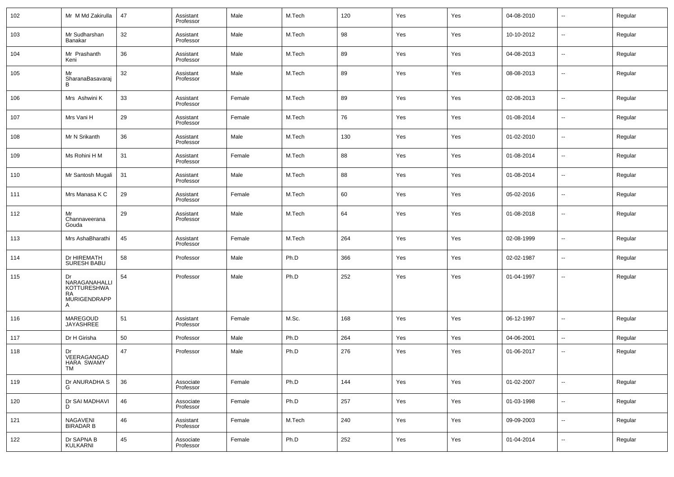| 102 | Mr M Md Zakirulla                                                           | 47 | Assistant<br>Professor | Male   | M.Tech | 120 | Yes | Yes | 04-08-2010 | $\sim$                   | Regular |
|-----|-----------------------------------------------------------------------------|----|------------------------|--------|--------|-----|-----|-----|------------|--------------------------|---------|
| 103 | Mr Sudharshan<br>Banakar                                                    | 32 | Assistant<br>Professor | Male   | M.Tech | 98  | Yes | Yes | 10-10-2012 | $\sim$                   | Regular |
| 104 | Mr Prashanth<br>Keni                                                        | 36 | Assistant<br>Professor | Male   | M.Tech | 89  | Yes | Yes | 04-08-2013 | $\sim$                   | Regular |
| 105 | Mr<br>SharanaBasavaraj<br>В                                                 | 32 | Assistant<br>Professor | Male   | M.Tech | 89  | Yes | Yes | 08-08-2013 | $\sim$                   | Regular |
| 106 | Mrs Ashwini K                                                               | 33 | Assistant<br>Professor | Female | M.Tech | 89  | Yes | Yes | 02-08-2013 | $\overline{\phantom{a}}$ | Regular |
| 107 | Mrs Vani H                                                                  | 29 | Assistant<br>Professor | Female | M.Tech | 76  | Yes | Yes | 01-08-2014 | $\sim$                   | Regular |
| 108 | Mr N Srikanth                                                               | 36 | Assistant<br>Professor | Male   | M.Tech | 130 | Yes | Yes | 01-02-2010 | $\overline{\phantom{a}}$ | Regular |
| 109 | Ms Rohini H M                                                               | 31 | Assistant<br>Professor | Female | M.Tech | 88  | Yes | Yes | 01-08-2014 | $\sim$                   | Regular |
| 110 | Mr Santosh Mugali                                                           | 31 | Assistant<br>Professor | Male   | M.Tech | 88  | Yes | Yes | 01-08-2014 | $\sim$                   | Regular |
| 111 | Mrs Manasa K C                                                              | 29 | Assistant<br>Professor | Female | M.Tech | 60  | Yes | Yes | 05-02-2016 | $\sim$                   | Regular |
| 112 | Mr<br>Channaveerana<br>Gouda                                                | 29 | Assistant<br>Professor | Male   | M.Tech | 64  | Yes | Yes | 01-08-2018 | $\sim$                   | Regular |
| 113 | Mrs AshaBharathi                                                            | 45 | Assistant<br>Professor | Female | M.Tech | 264 | Yes | Yes | 02-08-1999 | ш.                       | Regular |
| 114 | Dr HIREMATH<br>SURESH BABU                                                  | 58 | Professor              | Male   | Ph.D   | 366 | Yes | Yes | 02-02-1987 | ш.                       | Regular |
| 115 | Dr<br>NARAGANAHALLI<br><b>KOTTURESHWA</b><br><b>RA</b><br>MURIGENDRAPP<br>А | 54 | Professor              | Male   | Ph.D   | 252 | Yes | Yes | 01-04-1997 | --                       | Regular |
| 116 | MAREGOUD<br><b>JAYASHREE</b>                                                | 51 | Assistant<br>Professor | Female | M.Sc.  | 168 | Yes | Yes | 06-12-1997 | $\sim$                   | Regular |
| 117 | Dr H Girisha                                                                | 50 | Professor              | Male   | Ph.D   | 264 | Yes | Yes | 04-06-2001 | $\sim$                   | Regular |
| 118 | Dr<br>VEERAGANGAD<br>HARA SWAMY<br>TM                                       | 47 | Professor              | Male   | Ph.D   | 276 | Yes | Yes | 01-06-2017 | --                       | Regular |
| 119 | Dr ANURADHA S<br>G                                                          | 36 | Associate<br>Professor | Female | Ph.D   | 144 | Yes | Yes | 01-02-2007 | $\overline{\phantom{a}}$ | Regular |
| 120 | Dr SAI MADHAVI<br>D                                                         | 46 | Associate<br>Professor | Female | Ph.D   | 257 | Yes | Yes | 01-03-1998 | $\overline{\phantom{a}}$ | Regular |
| 121 | NAGAVENI<br>BIRADAR B                                                       | 46 | Assistant<br>Professor | Female | M.Tech | 240 | Yes | Yes | 09-09-2003 | $\overline{\phantom{a}}$ | Regular |
| 122 | Dr SAPNA B<br>KULKARNI                                                      | 45 | Associate<br>Professor | Female | Ph.D   | 252 | Yes | Yes | 01-04-2014 | $\overline{\phantom{a}}$ | Regular |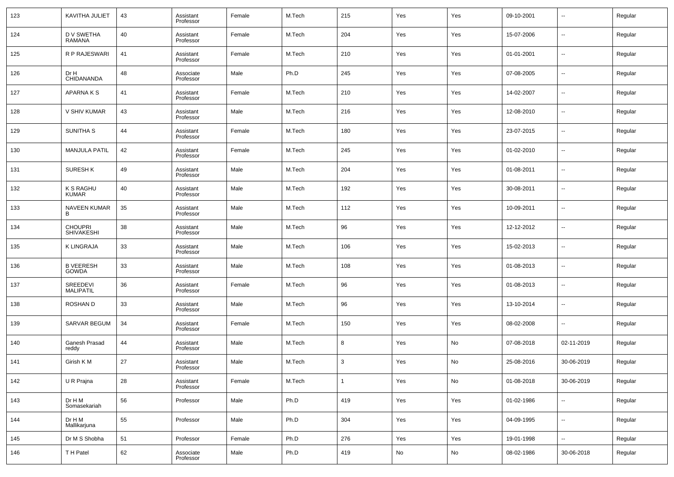| 123 | KAVITHA JULIET                      | 43 | Assistant<br>Professor | Female | M.Tech | 215          | Yes | Yes | 09-10-2001 | $\overline{\phantom{a}}$ | Regular |
|-----|-------------------------------------|----|------------------------|--------|--------|--------------|-----|-----|------------|--------------------------|---------|
| 124 | D V SWETHA<br>RAMANA                | 40 | Assistant<br>Professor | Female | M.Tech | 204          | Yes | Yes | 15-07-2006 | $\overline{\phantom{a}}$ | Regular |
| 125 | <b>R P RAJESWARI</b>                | 41 | Assistant<br>Professor | Female | M.Tech | 210          | Yes | Yes | 01-01-2001 | $\overline{\phantom{a}}$ | Regular |
| 126 | Dr H<br>CHIDANANDA                  | 48 | Associate<br>Professor | Male   | Ph.D   | 245          | Yes | Yes | 07-08-2005 | $\overline{\phantom{a}}$ | Regular |
| 127 | <b>APARNAKS</b>                     | 41 | Assistant<br>Professor | Female | M.Tech | 210          | Yes | Yes | 14-02-2007 | $\overline{\phantom{a}}$ | Regular |
| 128 | V SHIV KUMAR                        | 43 | Assistant<br>Professor | Male   | M.Tech | 216          | Yes | Yes | 12-08-2010 | $\overline{\phantom{a}}$ | Regular |
| 129 | SUNITHA S                           | 44 | Assistant<br>Professor | Female | M.Tech | 180          | Yes | Yes | 23-07-2015 | $\overline{\phantom{a}}$ | Regular |
| 130 | <b>MANJULA PATIL</b>                | 42 | Assistant<br>Professor | Female | M.Tech | 245          | Yes | Yes | 01-02-2010 | $\overline{\phantom{a}}$ | Regular |
| 131 | <b>SURESH K</b>                     | 49 | Assistant<br>Professor | Male   | M.Tech | 204          | Yes | Yes | 01-08-2011 | $\overline{\phantom{a}}$ | Regular |
| 132 | <b>K S RAGHU</b><br><b>KUMAR</b>    | 40 | Assistant<br>Professor | Male   | M.Tech | 192          | Yes | Yes | 30-08-2011 | $\overline{\phantom{a}}$ | Regular |
| 133 | <b>NAVEEN KUMAR</b><br>в            | 35 | Assistant<br>Professor | Male   | M.Tech | 112          | Yes | Yes | 10-09-2011 | $\overline{\phantom{a}}$ | Regular |
| 134 | <b>CHOUPRI</b><br><b>SHIVAKESHI</b> | 38 | Assistant<br>Professor | Male   | M.Tech | 96           | Yes | Yes | 12-12-2012 | $\overline{\phantom{a}}$ | Regular |
| 135 | <b>K LINGRAJA</b>                   | 33 | Assistant<br>Professor | Male   | M.Tech | 106          | Yes | Yes | 15-02-2013 | $\overline{\phantom{a}}$ | Regular |
| 136 | <b>B VEERESH</b><br>GOWDA           | 33 | Assistant<br>Professor | Male   | M.Tech | 108          | Yes | Yes | 01-08-2013 | $\overline{\phantom{a}}$ | Regular |
| 137 | SREEDEVI<br><b>MALIPATIL</b>        | 36 | Assistant<br>Professor | Female | M.Tech | 96           | Yes | Yes | 01-08-2013 | $\overline{\phantom{a}}$ | Regular |
| 138 | <b>ROSHAND</b>                      | 33 | Assistant<br>Professor | Male   | M.Tech | 96           | Yes | Yes | 13-10-2014 | $\overline{\phantom{a}}$ | Regular |
| 139 | SARVAR BEGUM                        | 34 | Assistant<br>Professor | Female | M.Tech | 150          | Yes | Yes | 08-02-2008 | $\overline{\phantom{a}}$ | Regular |
| 140 | Ganesh Prasad<br>reddy              | 44 | Assistant<br>Professor | Male   | M.Tech | 8            | Yes | No  | 07-08-2018 | 02-11-2019               | Regular |
| 141 | Girish K M                          | 27 | Assistant<br>Professor | Male   | M.Tech | 3            | Yes | No  | 25-08-2016 | 30-06-2019               | Regular |
| 142 | U R Prajna                          | 28 | Assistant<br>Professor | Female | M.Tech | $\mathbf{1}$ | Yes | No  | 01-08-2018 | 30-06-2019               | Regular |
| 143 | Dr H M<br>Somasekariah              | 56 | Professor              | Male   | Ph.D   | 419          | Yes | Yes | 01-02-1986 | $\sim$                   | Regular |
| 144 | Dr H M<br>Mallikarjuna              | 55 | Professor              | Male   | Ph.D   | 304          | Yes | Yes | 04-09-1995 | $\sim$                   | Regular |
| 145 | Dr M S Shobha                       | 51 | Professor              | Female | Ph.D   | 276          | Yes | Yes | 19-01-1998 | $\overline{\phantom{a}}$ | Regular |
| 146 | T H Patel                           | 62 | Associate<br>Professor | Male   | Ph.D   | 419          | No  | No  | 08-02-1986 | 30-06-2018               | Regular |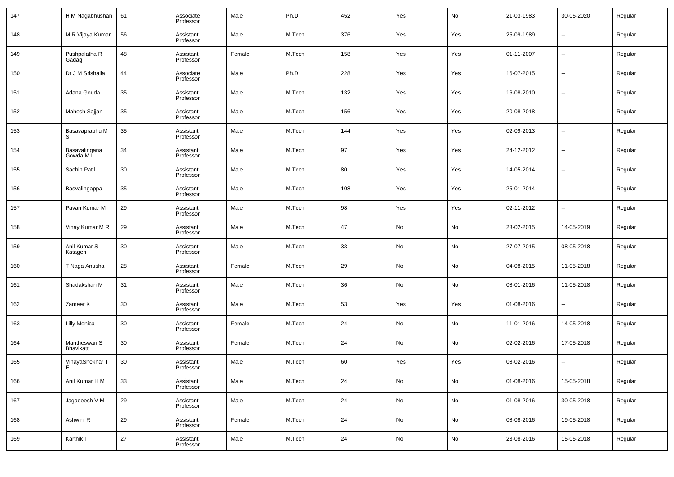| 147 | H M Nagabhushan             | 61 | Associate<br>Professor | Male   | Ph.D   | 452 | Yes                          | No  | 21-03-1983 | 30-05-2020               | Regular |
|-----|-----------------------------|----|------------------------|--------|--------|-----|------------------------------|-----|------------|--------------------------|---------|
| 148 | M R Vijaya Kumar            | 56 | Assistant<br>Professor | Male   | M.Tech | 376 | Yes                          | Yes | 25-09-1989 | $\overline{\phantom{a}}$ | Regular |
| 149 | Pushpalatha R<br>Gadag      | 48 | Assistant<br>Professor | Female | M.Tech | 158 | Yes                          | Yes | 01-11-2007 | $\overline{\phantom{a}}$ | Regular |
| 150 | Dr J M Srishaila            | 44 | Associate<br>Professor | Male   | Ph.D   | 228 | Yes                          | Yes | 16-07-2015 | $\overline{\phantom{a}}$ | Regular |
| 151 | Adana Gouda                 | 35 | Assistant<br>Professor | Male   | M.Tech | 132 | Yes                          | Yes | 16-08-2010 | $\overline{\phantom{a}}$ | Regular |
| 152 | Mahesh Sajjan               | 35 | Assistant<br>Professor | Male   | M.Tech | 156 | Yes                          | Yes | 20-08-2018 | $\overline{\phantom{a}}$ | Regular |
| 153 | Basavaprabhu M              | 35 | Assistant<br>Professor | Male   | M.Tech | 144 | Yes                          | Yes | 02-09-2013 | $\overline{\phantom{a}}$ | Regular |
| 154 | Basavalingana<br>Gowda M I  | 34 | Assistant<br>Professor | Male   | M.Tech | 97  | Yes                          | Yes | 24-12-2012 | $\overline{\phantom{a}}$ | Regular |
| 155 | Sachin Patil                | 30 | Assistant<br>Professor | Male   | M.Tech | 80  | Yes                          | Yes | 14-05-2014 | $\overline{\phantom{a}}$ | Regular |
| 156 | Basvalingappa               | 35 | Assistant<br>Professor | Male   | M.Tech | 108 | Yes                          | Yes | 25-01-2014 | $\overline{\phantom{a}}$ | Regular |
| 157 | Pavan Kumar M               | 29 | Assistant<br>Professor | Male   | M.Tech | 98  | Yes                          | Yes | 02-11-2012 | $\overline{\phantom{a}}$ | Regular |
| 158 | Vinay Kumar M R             | 29 | Assistant<br>Professor | Male   | M.Tech | 47  | No                           | No  | 23-02-2015 | 14-05-2019               | Regular |
| 159 | Anil Kumar S<br>Katageri    | 30 | Assistant<br>Professor | Male   | M.Tech | 33  | No                           | No  | 27-07-2015 | 08-05-2018               | Regular |
| 160 | T Naga Anusha               | 28 | Assistant<br>Professor | Female | M.Tech | 29  | No                           | No  | 04-08-2015 | 11-05-2018               | Regular |
| 161 | Shadakshari M               | 31 | Assistant<br>Professor | Male   | M.Tech | 36  | No                           | No  | 08-01-2016 | 11-05-2018               | Regular |
| 162 | Zameer K                    | 30 | Assistant<br>Professor | Male   | M.Tech | 53  | Yes                          | Yes | 01-08-2016 | $\overline{\phantom{a}}$ | Regular |
| 163 | <b>Lilly Monica</b>         | 30 | Assistant<br>Professor | Female | M.Tech | 24  | No                           | No  | 11-01-2016 | 14-05-2018               | Regular |
| 164 | Mantheswari S<br>Bhavikatti | 30 | Assistant<br>Professor | Female | M.Tech | 24  | No                           | No  | 02-02-2016 | 17-05-2018               | Regular |
| 165 | VinayaShekhar T             | 30 | Assistant<br>Professor | Male   | M.Tech | 60  | Yes                          | Yes | 08-02-2016 | $\overline{\phantom{a}}$ | Regular |
| 166 | Anil Kumar H M              | 33 | Assistant<br>Professor | Male   | M.Tech | 24  | No                           | No  | 01-08-2016 | 15-05-2018               | Regular |
| 167 | Jagadeesh V M               | 29 | Assistant<br>Professor | Male   | M.Tech | 24  | No                           | No  | 01-08-2016 | 30-05-2018               | Regular |
| 168 | Ashwini R                   | 29 | Assistant<br>Professor | Female | M.Tech | 24  | No                           | No  | 08-08-2016 | 19-05-2018               | Regular |
| 169 | Karthik I                   | 27 | Assistant<br>Professor | Male   | M.Tech | 24  | $\operatorname{\mathsf{No}}$ | No  | 23-08-2016 | 15-05-2018               | Regular |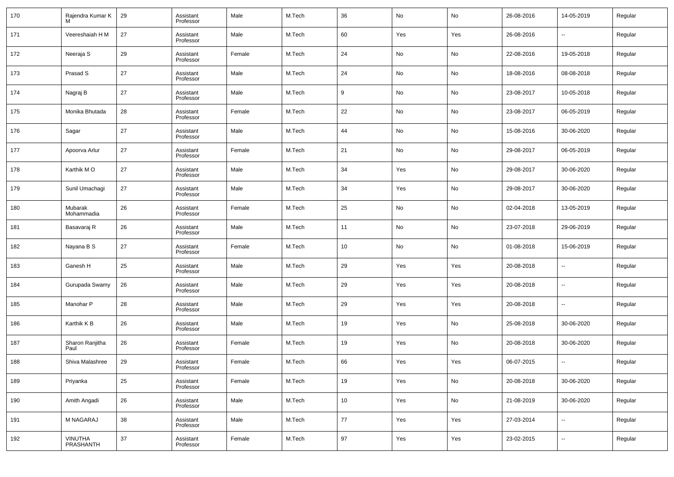| 170 | Rajendra Kumar K        | 29 | Assistant<br>Professor | Male   | M.Tech | 36 | No  | No  | 26-08-2016 | 14-05-2019               | Regular |
|-----|-------------------------|----|------------------------|--------|--------|----|-----|-----|------------|--------------------------|---------|
| 171 | Veereshaiah H M         | 27 | Assistant<br>Professor | Male   | M.Tech | 60 | Yes | Yes | 26-08-2016 | $\overline{\phantom{a}}$ | Regular |
| 172 | Neeraja S               | 29 | Assistant<br>Professor | Female | M.Tech | 24 | No  | No  | 22-08-2016 | 19-05-2018               | Regular |
| 173 | Prasad S                | 27 | Assistant<br>Professor | Male   | M.Tech | 24 | No  | No  | 18-08-2016 | 08-08-2018               | Regular |
| 174 | Nagraj B                | 27 | Assistant<br>Professor | Male   | M.Tech | 9  | No  | No  | 23-08-2017 | 10-05-2018               | Regular |
| 175 | Monika Bhutada          | 28 | Assistant<br>Professor | Female | M.Tech | 22 | No  | No  | 23-08-2017 | 06-05-2019               | Regular |
| 176 | Sagar                   | 27 | Assistant<br>Professor | Male   | M.Tech | 44 | No  | No  | 15-08-2016 | 30-06-2020               | Regular |
| 177 | Apoorva Arlur           | 27 | Assistant<br>Professor | Female | M.Tech | 21 | No  | No  | 29-08-2017 | 06-05-2019               | Regular |
| 178 | Karthik MO              | 27 | Assistant<br>Professor | Male   | M.Tech | 34 | Yes | No  | 29-08-2017 | 30-06-2020               | Regular |
| 179 | Sunil Umachagi          | 27 | Assistant<br>Professor | Male   | M.Tech | 34 | Yes | No  | 29-08-2017 | 30-06-2020               | Regular |
| 180 | Mubarak<br>Mohammadia   | 26 | Assistant<br>Professor | Female | M.Tech | 25 | No  | No  | 02-04-2018 | 13-05-2019               | Regular |
| 181 | Basavaraj R             | 26 | Assistant<br>Professor | Male   | M.Tech | 11 | No  | No  | 23-07-2018 | 29-06-2019               | Regular |
| 182 | Nayana B S              | 27 | Assistant<br>Professor | Female | M.Tech | 10 | No  | No  | 01-08-2018 | 15-06-2019               | Regular |
| 183 | Ganesh H                | 25 | Assistant<br>Professor | Male   | M.Tech | 29 | Yes | Yes | 20-08-2018 | $\overline{\phantom{a}}$ | Regular |
| 184 | Gurupada Swamy          | 26 | Assistant<br>Professor | Male   | M.Tech | 29 | Yes | Yes | 20-08-2018 | $\overline{\phantom{a}}$ | Regular |
| 185 | Manohar P               | 28 | Assistant<br>Professor | Male   | M.Tech | 29 | Yes | Yes | 20-08-2018 | $\overline{\phantom{a}}$ | Regular |
| 186 | Karthik K B             | 26 | Assistant<br>Professor | Male   | M.Tech | 19 | Yes | No  | 25-08-2018 | 30-06-2020               | Regular |
| 187 | Sharon Ranjitha<br>Paul | 26 | Assistant<br>Professor | Female | M.Tech | 19 | Yes | No  | 20-08-2018 | 30-06-2020               | Regular |
| 188 | Shiva Malashree         | 29 | Assistant<br>Professor | Female | M.Tech | 66 | Yes | Yes | 06-07-2015 | $\overline{\phantom{a}}$ | Regular |
| 189 | Priyanka                | 25 | Assistant<br>Professor | Female | M.Tech | 19 | Yes | No  | 20-08-2018 | 30-06-2020               | Regular |
| 190 | Amith Angadi            | 26 | Assistant<br>Professor | Male   | M.Tech | 10 | Yes | No  | 21-08-2019 | 30-06-2020               | Regular |
| 191 | M NAGARAJ               | 38 | Assistant<br>Professor | Male   | M.Tech | 77 | Yes | Yes | 27-03-2014 | $\ddotsc$                | Regular |
| 192 | VINUTHA<br>PRASHANTH    | 37 | Assistant<br>Professor | Female | M.Tech | 97 | Yes | Yes | 23-02-2015 | $\sim$                   | Regular |